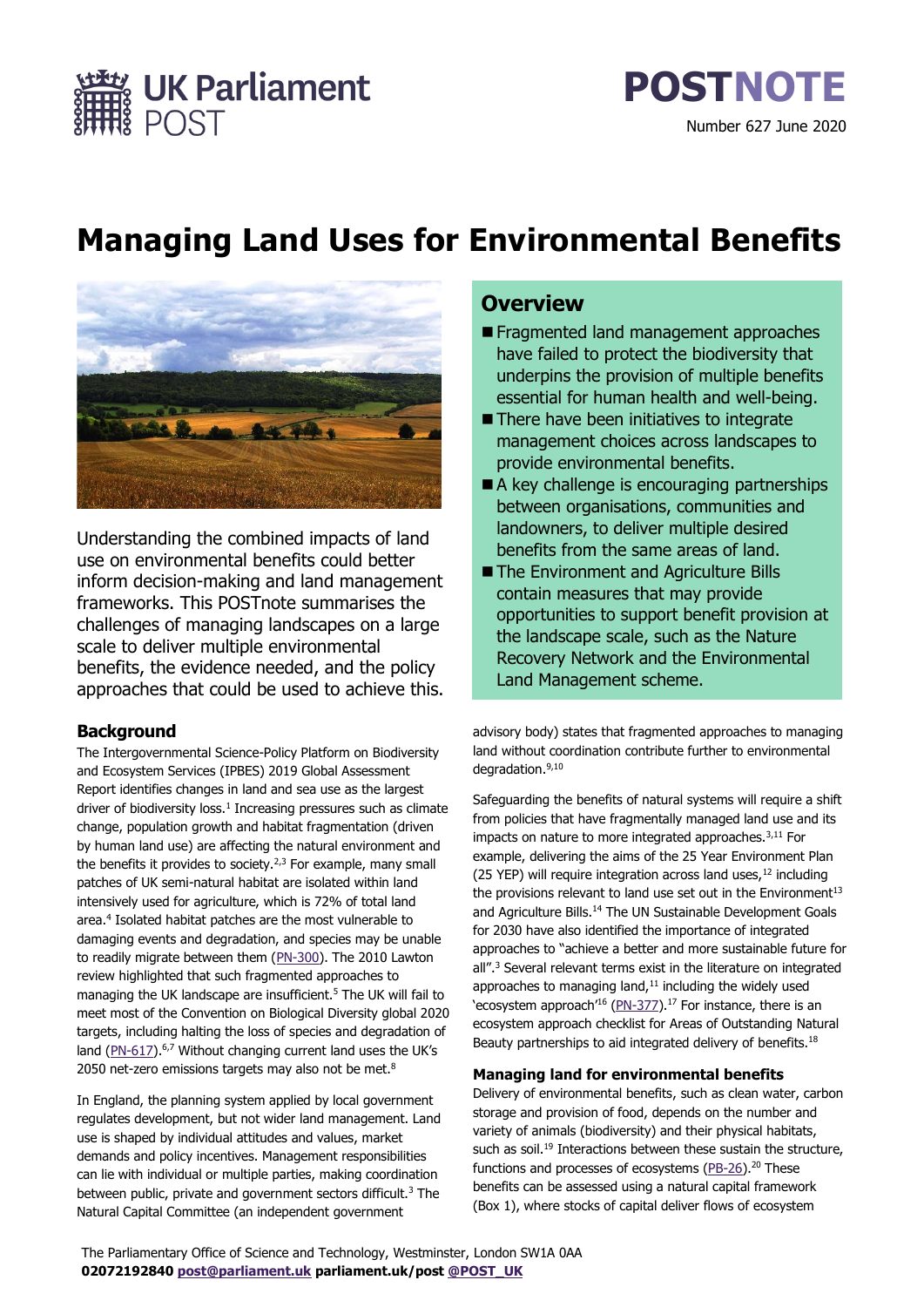Number 627 June 2020

**POSTNOTE**

# **Managing Land Uses for Environmental Benefits**



**EX UK Parliament**<br>#8 POST

Understanding the combined impacts of land use on environmental benefits could better inform decision-making and land management frameworks. This POSTnote summarises the challenges of managing landscapes on a large scale to deliver multiple environmental benefits, the evidence needed, and the policy approaches that could be used to achieve this.

## **Background**

The Intergovernmental Science-Policy Platform on Biodiversity and Ecosystem Services (IPBES) 2019 Global Assessment Report identifies changes in land and sea use as the largest driver of biodiversity loss.<sup>1</sup> Increasing pressures such as climate change, population growth and habitat fragmentation (driven by human land use) are affecting the natural environment and the benefits it provides to society.<sup>2,3</sup> For example, many small patches of UK semi-natural habitat are isolated within land intensively used for agriculture, which is 72% of total land area.<sup>4</sup> Isolated habitat patches are the most vulnerable to damaging events and degradation, and species may be unable to readily migrate between them [\(PN-300\)](https://post.parliament.uk/research-briefings/post-pn-300/). The 2010 Lawton review highlighted that such fragmented approaches to managing the UK landscape are insufficient.<sup>5</sup> The UK will fail to meet most of the Convention on Biological Diversity global 2020 targets, including halting the loss of species and degradation of land [\(PN-617\)](https://post.parliament.uk/research-briefings/post-pn-0617/).<sup>6,7</sup> Without changing current land uses the UK's 2050 net-zero emissions targets may also not be met.<sup>8</sup>

In England, the planning system applied by local government regulates development, but not wider land management. Land use is shaped by individual attitudes and values, market demands and policy incentives. Management responsibilities can lie with individual or multiple parties, making coordination between public, private and government sectors difficult. $3$  The Natural Capital Committee (an independent government

## **Overview**

- Fragmented land management approaches have failed to protect the biodiversity that underpins the provision of multiple benefits essential for human health and well-being.
- There have been initiatives to integrate management choices across landscapes to provide environmental benefits.
- A key challenge is encouraging partnerships between organisations, communities and landowners, to deliver multiple desired benefits from the same areas of land.
- The Environment and Agriculture Bills contain measures that may provide opportunities to support benefit provision at the landscape scale, such as the Nature Recovery Network and the Environmental Land Management scheme.

advisory body) states that fragmented approaches to managing land without coordination contribute further to environmental degradation.9,10

Safeguarding the benefits of natural systems will require a shift from policies that have fragmentally managed land use and its impacts on nature to more integrated approaches.<sup>3,11</sup> For example, delivering the aims of the 25 Year Environment Plan (25 YEP) will require integration across land uses,  $12$  including the provisions relevant to land use set out in the Environment<sup>13</sup> and Agriculture Bills.<sup>14</sup> The UN Sustainable Development Goals for 2030 have also identified the importance of integrated approaches to "achieve a better and more sustainable future for all".<sup>3</sup> Several relevant terms exist in the literature on integrated approaches to managing land, $11$  including the widely used 'ecosystem approach'<sup>16</sup> [\(PN-377\)](https://post.parliament.uk/research-briefings/post-pn-377/).<sup>17</sup> For instance, there is an ecosystem approach checklist for Areas of Outstanding Natural Beauty partnerships to aid integrated delivery of benefits.<sup>18</sup>

## **Managing land for environmental benefits**

Delivery of environmental benefits, such as clean water, carbon storage and provision of food, depends on the number and variety of animals (biodiversity) and their physical habitats, such as soil.<sup>19</sup> Interactions between these sustain the structure, functions and processes of ecosystems [\(PB-26\)](https://post.parliament.uk/research-briefings/post-pb-0026/).<sup>20</sup> These benefits can be assessed using a natural capital framework (Box 1), where stocks of capital deliver flows of ecosystem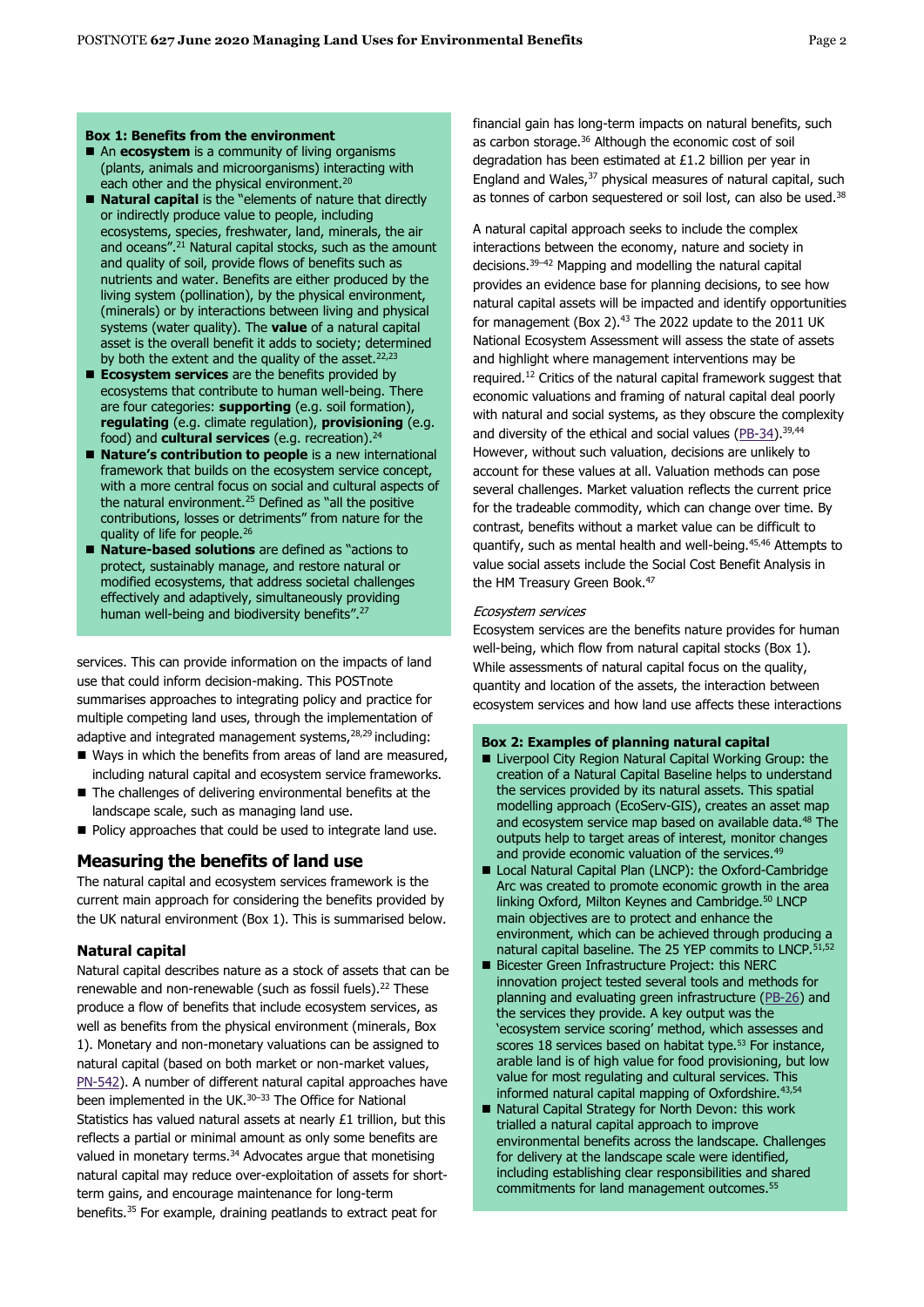#### **Box 1: Benefits from the environment**

- An **ecosystem** is a community of living organisms (plants, animals and microorganisms) interacting with each other and the physical environment.<sup>20</sup>
- **Natural capital** is the "elements of nature that directly or indirectly produce value to people, including ecosystems, species, freshwater, land, minerals, the air and oceans". <sup>21</sup> Natural capital stocks, such as the amount and quality of soil, provide flows of benefits such as nutrients and water. Benefits are either produced by the living system (pollination), by the physical environment, (minerals) or by interactions between living and physical systems (water quality). The **value** of a natural capital asset is the overall benefit it adds to society; determined by both the extent and the quality of the asset.<sup>22,23</sup>
- **Ecosystem services** are the benefits provided by ecosystems that contribute to human well-being. There are four categories: **supporting** (e.g. soil formation), **regulating** (e.g. climate regulation), **provisioning** (e.g. food) and **cultural services** (e.g. recreation).<sup>24</sup>
- **Nature's contribution to people** is a new international framework that builds on the ecosystem service concept, with a more central focus on social and cultural aspects of the natural environment.<sup>25</sup> Defined as "all the positive contributions, losses or detriments" from nature for the quality of life for people.<sup>26</sup>
- Nature-based solutions are defined as "actions to protect, sustainably manage, and restore natural or modified ecosystems, that address societal challenges effectively and adaptively, simultaneously providing human well-being and biodiversity benefits".<sup>27</sup>

services. This can provide information on the impacts of land use that could inform decision-making. This POSTnote summarises approaches to integrating policy and practice for multiple competing land uses, through the implementation of adaptive and integrated management systems, <sup>28,29</sup> including:

- Ways in which the benefits from areas of land are measured, including natural capital and ecosystem service frameworks.
- The challenges of delivering environmental benefits at the landscape scale, such as managing land use.
- Policy approaches that could be used to integrate land use.

## **Measuring the benefits of land use**

The natural capital and ecosystem services framework is the current main approach for considering the benefits provided by the UK natural environment (Box 1). This is summarised below.

#### **Natural capital**

Natural capital describes nature as a stock of assets that can be renewable and non-renewable (such as fossil fuels).<sup>22</sup> These produce a flow of benefits that include ecosystem services, as well as benefits from the physical environment (minerals, Box 1). Monetary and non-monetary valuations can be assigned to natural capital (based on both market or non-market values, [PN-542\)](https://post.parliament.uk/research-briefings/post-pn-0542/). A number of different natural capital approaches have been implemented in the UK.<sup>30-33</sup> The Office for National Statistics has valued natural assets at nearly £1 trillion, but this reflects a partial or minimal amount as only some benefits are valued in monetary terms.<sup>34</sup> Advocates argue that monetising natural capital may reduce over-exploitation of assets for shortterm gains, and encourage maintenance for long-term benefits.<sup>35</sup> For example, draining peatlands to extract peat for

financial gain has long-term impacts on natural benefits, such as carbon storage.<sup>36</sup> Although the economic cost of soil degradation has been estimated at £1.2 billion per year in England and Wales,<sup>37</sup> physical measures of natural capital, such as tonnes of carbon sequestered or soil lost, can also be used.<sup>38</sup>

A natural capital approach seeks to include the complex interactions between the economy, nature and society in decisions.<sup>39</sup>–<sup>42</sup> Mapping and modelling the natural capital provides an evidence base for planning decisions, to see how natural capital assets will be impacted and identify opportunities for management (Box 2). $43$  The 2022 update to the 2011 UK National Ecosystem Assessment will assess the state of assets and highlight where management interventions may be required.<sup>12</sup> Critics of the natural capital framework suggest that economic valuations and framing of natural capital deal poorly with natural and social systems, as they obscure the complexity and diversity of the ethical and social values ( $PB-34$ ).<sup>39,44</sup> However, without such valuation, decisions are unlikely to account for these values at all. Valuation methods can pose several challenges. Market valuation reflects the current price for the tradeable commodity, which can change over time. By contrast, benefits without a market value can be difficult to quantify, such as mental health and well-being.<sup>45,46</sup> Attempts to value social assets include the Social Cost Benefit Analysis in the HM Treasury Green Book.<sup>47</sup>

#### Ecosystem services

Ecosystem services are the benefits nature provides for human well-being, which flow from natural capital stocks (Box 1). While assessments of natural capital focus on the quality, quantity and location of the assets, the interaction between ecosystem services and how land use affects these interactions

#### **Box 2: Examples of planning natural capital**

- Liverpool City Region Natural Capital Working Group: the creation of a Natural Capital Baseline helps to understand the services provided by its natural assets. This spatial modelling approach (EcoServ-GIS), creates an asset map and ecosystem service map based on available data.<sup>48</sup> The outputs help to target areas of interest, monitor changes and provide economic valuation of the services.<sup>49</sup>
- ◼ Local Natural Capital Plan (LNCP): the Oxford-Cambridge Arc was created to promote economic growth in the area linking Oxford, Milton Keynes and Cambridge.<sup>50</sup> LNCP main objectives are to protect and enhance the environment, which can be achieved through producing a natural capital baseline. The 25 YEP commits to LNCP. 51, 52
- Bicester Green Infrastructure Project: this NERC innovation project tested several tools and methods for planning and evaluating green infrastructure [\(PB-26\)](https://post.parliament.uk/research-briefings/post-pb-0026/) and the services they provide. A key output was the 'ecosystem service scoring' method, which assesses and scores 18 services based on habitat type.<sup>53</sup> For instance, arable land is of high value for food provisioning, but low value for most regulating and cultural services. This informed natural capital mapping of Oxfordshire.<sup>43,54</sup>
- Natural Capital Strategy for North Devon: this work trialled a natural capital approach to improve environmental benefits across the landscape. Challenges for delivery at the landscape scale were identified, including establishing clear responsibilities and shared commitments for land management outcomes. 55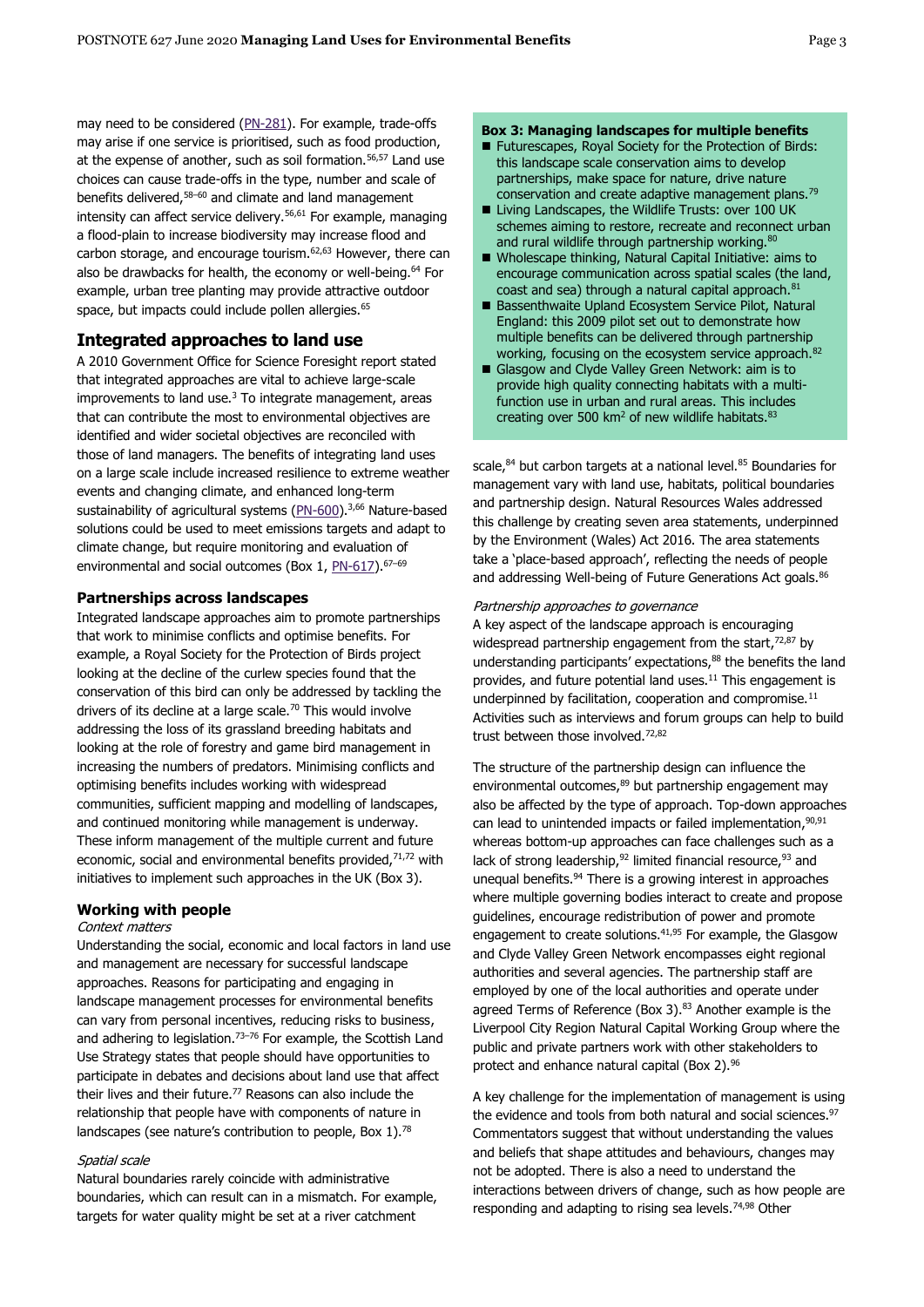may need to be considered [\(PN-281\)](https://post.parliament.uk/research-briefings/post-pn-281/). For example, trade-offs may arise if one service is prioritised, such as food production, at the expense of another, such as soil formation.<sup>56,57</sup> Land use choices can cause trade-offs in the type, number and scale of benefits delivered,<sup>58</sup>–<sup>60</sup> and climate and land management intensity can affect service delivery.<sup>56,61</sup> For example, managing a flood-plain to increase biodiversity may increase flood and carbon storage, and encourage tourism.62,63 However, there can also be drawbacks for health, the economy or well-being.<sup>64</sup> For example, urban tree planting may provide attractive outdoor space, but impacts could include pollen allergies.<sup>65</sup>

## **Integrated approaches to land use**

A 2010 Government Office for Science Foresight report stated that integrated approaches are vital to achieve large-scale improvements to land use. $3$  To integrate management, areas that can contribute the most to environmental objectives are identified and wider societal objectives are reconciled with those of land managers. The benefits of integrating land uses on a large scale include increased resilience to extreme weather events and changing climate, and enhanced long-term sustainability of agricultural systems [\(PN-600\)](https://post.parliament.uk/research-briefings/post-pn-0600/).<sup>3,66</sup> Nature-based solutions could be used to meet emissions targets and adapt to climate change, but require monitoring and evaluation of environmental and social outcomes (Box 1, [PN-617\)](https://post.parliament.uk/research-briefings/post-pn-0617/). 67-69

#### **Partnerships across landscapes**

Integrated landscape approaches aim to promote partnerships that work to minimise conflicts and optimise benefits. For example, a Royal Society for the Protection of Birds project looking at the decline of the curlew species found that the conservation of this bird can only be addressed by tackling the drivers of its decline at a large scale.<sup>70</sup> This would involve addressing the loss of its grassland breeding habitats and looking at the role of forestry and game bird management in increasing the numbers of predators. Minimising conflicts and optimising benefits includes working with widespread communities, sufficient mapping and modelling of landscapes, and continued monitoring while management is underway. These inform management of the multiple current and future economic, social and environmental benefits provided, $71,72$  with initiatives to implement such approaches in the UK (Box 3).

### **Working with people**

#### Context matters

Understanding the social, economic and local factors in land use and management are necessary for successful landscape approaches. Reasons for participating and engaging in landscape management processes for environmental benefits can vary from personal incentives, reducing risks to business, and adhering to legislation.<sup>73-76</sup> For example, the Scottish Land Use Strategy states that people should have opportunities to participate in debates and decisions about land use that affect their lives and their future.<sup>77</sup> Reasons can also include the relationship that people have with components of nature in landscapes (see nature's contribution to people, Box 1).<sup>78</sup>

#### Spatial scale

Natural boundaries rarely coincide with administrative boundaries, which can result can in a mismatch. For example, targets for water quality might be set at a river catchment

#### **Box 3: Managing landscapes for multiple benefits**

- Futurescapes, Royal Society for the Protection of Birds: this landscape scale conservation aims to develop partnerships, make space for nature, drive nature conservation and create adaptive management plans.<sup>79</sup>
- Living Landscapes, the Wildlife Trusts: over 100 UK schemes aiming to restore, recreate and reconnect urban and rural wildlife through partnership working. $80$
- Wholescape thinking, Natural Capital Initiative: aims to encourage communication across spatial scales (the land, coast and sea) through a natural capital approach.<sup>81</sup>
- Bassenthwaite Upland Ecosystem Service Pilot, Natural England: this 2009 pilot set out to demonstrate how multiple benefits can be delivered through partnership working, focusing on the ecosystem service approach. 82
- Glasgow and Clyde Valley Green Network: aim is to provide high quality connecting habitats with a multifunction use in urban and rural areas. This includes creating over 500  $km^2$  of new wildlife habitats.  $83$

scale,<sup>84</sup> but carbon targets at a national level.<sup>85</sup> Boundaries for management vary with land use, habitats, political boundaries and partnership design. Natural Resources Wales addressed this challenge by creating seven area statements, underpinned by the Environment (Wales) Act 2016. The area statements take a 'place-based approach', reflecting the needs of people and addressing Well-being of Future Generations Act goals.<sup>86</sup>

#### Partnership approaches to governance

A key aspect of the landscape approach is encouraging widespread partnership engagement from the start, $72,87$  by understanding participants' expectations, <sup>88</sup> the benefits the land provides, and future potential land uses.<sup>11</sup> This engagement is underpinned by facilitation, cooperation and compromise.<sup>11</sup> Activities such as interviews and forum groups can help to build trust between those involved.<sup>72,82</sup>

The structure of the partnership design can influence the environmental outcomes, <sup>89</sup> but partnership engagement may also be affected by the type of approach. Top-down approaches can lead to unintended impacts or failed implementation, 90,91 whereas bottom-up approaches can face challenges such as a lack of strong leadership,<sup>92</sup> limited financial resource,<sup>93</sup> and unequal benefits. <sup>94</sup> There is a growing interest in approaches where multiple governing bodies interact to create and propose guidelines, encourage redistribution of power and promote engagement to create solutions.<sup>41,95</sup> For example, the Glasgow and Clyde Valley Green Network encompasses eight regional authorities and several agencies. The partnership staff are employed by one of the local authorities and operate under agreed Terms of Reference (Box 3). $83$  Another example is the Liverpool City Region Natural Capital Working Group where the public and private partners work with other stakeholders to protect and enhance natural capital (Box 2).<sup>96</sup>

A key challenge for the implementation of management is using the evidence and tools from both natural and social sciences.<sup>97</sup> Commentators suggest that without understanding the values and beliefs that shape attitudes and behaviours, changes may not be adopted. There is also a need to understand the interactions between drivers of change, such as how people are responding and adapting to rising sea levels.<sup>74,98</sup> Other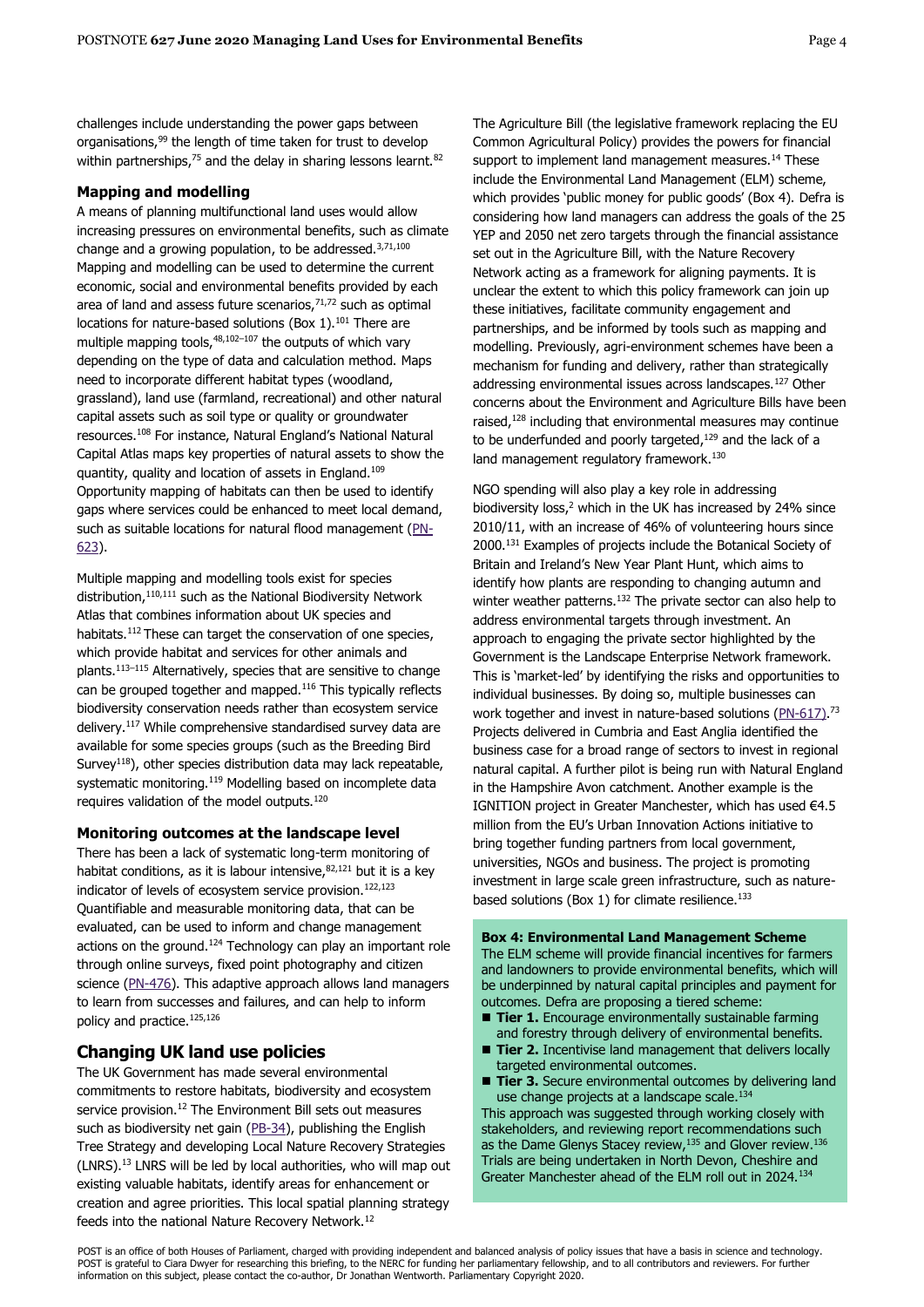challenges include understanding the power gaps between organisations,<sup>99</sup> the length of time taken for trust to develop within partnerships,<sup>75</sup> and the delay in sharing lessons learnt.<sup>82</sup>

#### **Mapping and modelling**

A means of planning multifunctional land uses would allow increasing pressures on environmental benefits, such as climate change and a growing population, to be addressed. $3,71,100$ Mapping and modelling can be used to determine the current economic, social and environmental benefits provided by each area of land and assess future scenarios, $71,72$  such as optimal locations for nature-based solutions (Box 1).<sup>101</sup> There are multiple mapping tools, $48,102-107$  the outputs of which vary depending on the type of data and calculation method. Maps need to incorporate different habitat types (woodland, grassland), land use (farmland, recreational) and other natural capital assets such as soil type or quality or groundwater resources. <sup>108</sup> For instance, Natural England's National Natural Capital Atlas maps key properties of natural assets to show the quantity, quality and location of assets in England.<sup>109</sup> Opportunity mapping of habitats can then be used to identify gaps where services could be enhanced to meet local demand, such as suitable locations for natural flood management [\(PN-](https://post.parliament.uk/research-briefings/post-pn-0623/)[623\)](https://post.parliament.uk/research-briefings/post-pn-0623/).

Multiple mapping and modelling tools exist for species distribution, 110,111 such as the National Biodiversity Network Atlas that combines information about UK species and habitats.<sup>112</sup> These can target the conservation of one species, which provide habitat and services for other animals and plants.<sup>113–115</sup> Alternatively, species that are sensitive to change can be grouped together and mapped.<sup>116</sup> This typically reflects biodiversity conservation needs rather than ecosystem service delivery.<sup>117</sup> While comprehensive standardised survey data are available for some species groups (such as the Breeding Bird Survey<sup>118</sup>), other species distribution data may lack repeatable, systematic monitoring.<sup>119</sup> Modelling based on incomplete data requires validation of the model outputs.<sup>120</sup>

#### **Monitoring outcomes at the landscape level**

There has been a lack of systematic long-term monitoring of habitat conditions, as it is labour intensive,  $82,121$  but it is a key indicator of levels of ecosystem service provision.<sup>122,123</sup> Quantifiable and measurable monitoring data, that can be evaluated, can be used to inform and change management actions on the ground. $124$  Technology can play an important role through online surveys, fixed point photography and citizen science [\(PN-476\)](https://post.parliament.uk/research-briefings/post-pn-476/). This adaptive approach allows land managers to learn from successes and failures, and can help to inform policy and practice.125,126

## **Changing UK land use policies**

The UK Government has made several environmental commitments to restore habitats, biodiversity and ecosystem service provision.<sup>12</sup> The Environment Bill sets out measures such as biodiversity net gain [\(PB-34\)](https://post.parliament.uk/research-briefings/post-pb-0034/), publishing the English Tree Strategy and developing Local Nature Recovery Strategies (LNRS). <sup>13</sup> LNRS will be led by local authorities, who will map out existing valuable habitats, identify areas for enhancement or creation and agree priorities. This local spatial planning strategy feeds into the national Nature Recovery Network.<sup>12</sup>

The Agriculture Bill (the legislative framework replacing the EU Common Agricultural Policy) provides the powers for financial support to implement land management measures.<sup>14</sup> These include the Environmental Land Management (ELM) scheme, which provides 'public money for public goods' (Box 4). Defra is considering how land managers can address the goals of the 25 YEP and 2050 net zero targets through the financial assistance set out in the Agriculture Bill, with the Nature Recovery Network acting as a framework for aligning payments. It is unclear the extent to which this policy framework can join up these initiatives, facilitate community engagement and partnerships, and be informed by tools such as mapping and modelling. Previously, agri-environment schemes have been a mechanism for funding and delivery, rather than strategically addressing environmental issues across landscapes.<sup>127</sup> Other concerns about the Environment and Agriculture Bills have been raised, $128$  including that environmental measures may continue to be underfunded and poorly targeted, $129$  and the lack of a land management regulatory framework.<sup>130</sup>

NGO spending will also play a key role in addressing biodiversity loss, <sup>2</sup> which in the UK has increased by 24% since 2010/11, with an increase of 46% of volunteering hours since 2000.<sup>131</sup> Examples of projects include the Botanical Society of Britain and Ireland's New Year Plant Hunt, which aims to identify how plants are responding to changing autumn and winter weather patterns.<sup>132</sup> The private sector can also help to address environmental targets through investment. An approach to engaging the private sector highlighted by the Government is the Landscape Enterprise Network framework. This is 'market-led' by identifying the risks and opportunities to individual businesses. By doing so, multiple businesses can work together and invest in nature-based solutions [\(PN-617\)](https://post.parliament.uk/research-briefings/post-pn-0617/).<sup>73</sup> Projects delivered in Cumbria and East Anglia identified the business case for a broad range of sectors to invest in regional natural capital. A further pilot is being run with Natural England in the Hampshire Avon catchment. Another example is the IGNITION project in Greater Manchester, which has used €4.5 million from the EU's Urban Innovation Actions initiative to bring together funding partners from local government, universities, NGOs and business. The project is promoting investment in large scale green infrastructure, such as naturebased solutions (Box 1) for climate resilience.<sup>133</sup>

**Box 4: Environmental Land Management Scheme** The ELM scheme will provide financial incentives for farmers and landowners to provide environmental benefits, which will be underpinned by natural capital principles and payment for outcomes. Defra are proposing a tiered scheme:

- **Tier 1.** Encourage environmentally sustainable farming and forestry through delivery of environmental benefits.
- Tier 2. Incentivise land management that delivers locally targeted environmental outcomes.
- Tier 3. Secure environmental outcomes by delivering land use change projects at a landscape scale. 134

This approach was suggested through working closely with stakeholders, and reviewing report recommendations such as the Dame Glenys Stacey review, 135 and Glover review. 136 Trials are being undertaken in North Devon, Cheshire and Greater Manchester ahead of the ELM roll out in 2024.<sup>134</sup>

POST is an office of both Houses of Parliament, charged with providing independent and balanced analysis of policy issues that have a basis in science and technology. POST is grateful to Ciara Dwyer for researching this briefing, to the NERC for funding her parliamentary fellowship, and to all contributors and reviewers. For further information on this subject, please contact the co-author, Dr Jonathan Wentworth. Parliamentary Copyright 2020.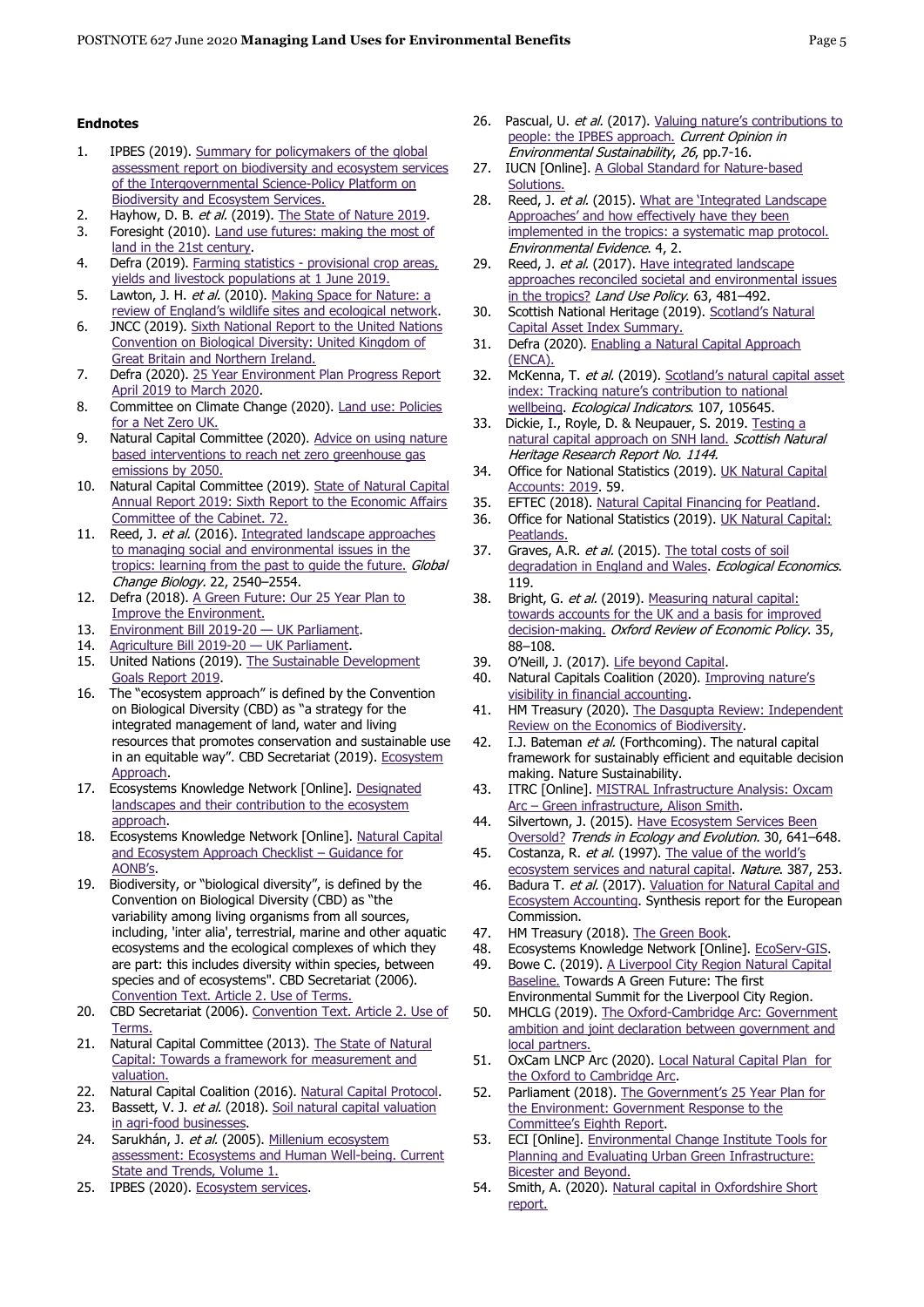#### **Endnotes**

- 1. IPBES (2019). [Summary for policymakers of the global](https://ipbes.net/sites/default/files/2020-02/ipbes_global_assessment_report_summary_for_policymakers_en.pdf)  [assessment report on biodiversity and ecosystem services](https://ipbes.net/sites/default/files/2020-02/ipbes_global_assessment_report_summary_for_policymakers_en.pdf)  [of the Intergovernmental Science-Policy Platform on](https://ipbes.net/sites/default/files/2020-02/ipbes_global_assessment_report_summary_for_policymakers_en.pdf)  [Biodiversity and Ecosystem Services.](https://ipbes.net/sites/default/files/2020-02/ipbes_global_assessment_report_summary_for_policymakers_en.pdf)
- 2. Hayhow, D. B. et al. (2019). The State [of Nature 2019.](https://nbn.org.uk/wp-content/uploads/2019/09/State-of-Nature-2019-UK-full-report.pdf)
- 3. Foresight (2010). [Land use futures: making the most of](https://assets.publishing.service.gov.uk/government/uploads/system/uploads/attachment_data/file/288843/10-631-land-use-futures.pdf)  [land in the 21st century.](https://assets.publishing.service.gov.uk/government/uploads/system/uploads/attachment_data/file/288843/10-631-land-use-futures.pdf)
- 4. Defra (2019). Farming statistics [provisional crop areas,](https://assets.publishing.service.gov.uk/government/uploads/system/uploads/attachment_data/file/868943/structure-jun2019prov-UK-28feb20.pdf)  [yields and livestock populations at 1 June 2019.](https://assets.publishing.service.gov.uk/government/uploads/system/uploads/attachment_data/file/868943/structure-jun2019prov-UK-28feb20.pdf)
- 5. Lawton, J. H. et al. (2010). Making Space for Nature: a [review of England's wildlife sites](https://webarchive.nationalarchives.gov.uk/20130402170324/http:/archive.defra.gov.uk/environment/biodiversity/documents/201009space-for-nature.pdf) and ecological network.
- 6. JNCC (2019). [Sixth National Report to the United Nations](https://www.cbd.int/nr6/)  [Convention on Biological Diversity: United Kingdom of](https://www.cbd.int/nr6/)  [Great Britain and Northern Ireland.](https://www.cbd.int/nr6/)
- 7. Defra (2020). [25 Year Environment Plan Progress Report](https://assets.publishing.service.gov.uk/government/uploads/system/uploads/attachment_data/file/891783/25yep-progress-report-2020.pdf)  [April 2019 to March 2020.](https://assets.publishing.service.gov.uk/government/uploads/system/uploads/attachment_data/file/891783/25yep-progress-report-2020.pdf)
- 8. Committee on Climate Change (2020). [Land use: Policies](https://www.theccc.org.uk/publication/land-use-policies-for-a-net-zero-uk/)  [for a Net Zero UK.](https://www.theccc.org.uk/publication/land-use-policies-for-a-net-zero-uk/)
- 9. Natural Capital Committee (2020). Advice on using nature [based interventions to reach net zero greenhouse gas](https://assets.publishing.service.gov.uk/government/uploads/system/uploads/attachment_data/file/879797/ncc-nature-based-interventions.pdf)  [emissions by 2050.](https://assets.publishing.service.gov.uk/government/uploads/system/uploads/attachment_data/file/879797/ncc-nature-based-interventions.pdf)
- 10. Natural Capital Committee (2019). [State of Natural Capital](https://assets.publishing.service.gov.uk/government/uploads/system/uploads/attachment_data/file/774218/ncc-annual-report-2019.pdf)  [Annual Report 2019: Sixth Report to the Economic Affairs](https://assets.publishing.service.gov.uk/government/uploads/system/uploads/attachment_data/file/774218/ncc-annual-report-2019.pdf)  [Committee of the Cabinet. 72.](https://assets.publishing.service.gov.uk/government/uploads/system/uploads/attachment_data/file/774218/ncc-annual-report-2019.pdf)
- 11. Reed, J. et al. (2016). Integrated landscape approaches [to managing social and environmental issues in the](https://onlinelibrary.wiley.com/doi/full/10.1111/gcb.13284)  tropics: learning from the past to quide the future. Global Change Biology. 22, 2540–2554.
- 12. Defra (2018). A Green Future: Our 25 Year Plan to [Improve the Environment.](https://assets.publishing.service.gov.uk/government/uploads/system/uploads/attachment_data/file/693158/25-year-environment-plan.pdf)
- 13. [Environment Bill 2019-20](https://services.parliament.uk/Bills/2019-21/environment/documents.html)  UK Parliament.
- 14. [Agriculture Bill 2019-20](https://services.parliament.uk/bills/2019-21/agriculture.html)  UK Parliament.
- 15. United Nations (2019). The Sustainable Development [Goals Report 2019.](https://unstats.un.org/sdgs/report/2019/The-Sustainable-Development-Goals-Report-2019.pdf)
- 16. The "ecosystem approach" is defined by the Convention on Biological Diversity (CBD) as "a strategy for the integrated management of land, water and living resources that promotes conservation and sustainable use in an equitable way". CBD Secretariat (2019). [Ecosystem](https://www.cbd.int/ecosystem/)  [Approach.](https://www.cbd.int/ecosystem/)
- 17. Ecosystems Knowledge Network [Online]. Designated [landscapes and their contribution to the ecosystem](https://ecosystemsknowledge.net/resources/BiodiversityOutcome1C)  [approach.](https://ecosystemsknowledge.net/resources/BiodiversityOutcome1C)
- 18. Ecosystems Knowledge Network [Online]. [Natural Capital](https://ecosystemsknowledge.net/sites/default/files/wp-content/uploads/GUIDANCE%20December%202018%20-Ecosystem%20Apporach%20Checklist%20-%20071218.pdf)  [and Ecosystem Approach Checklist](https://ecosystemsknowledge.net/sites/default/files/wp-content/uploads/GUIDANCE%20December%202018%20-Ecosystem%20Apporach%20Checklist%20-%20071218.pdf) – Guidance for [AONB](https://ecosystemsknowledge.net/sites/default/files/wp-content/uploads/GUIDANCE%20December%202018%20-Ecosystem%20Apporach%20Checklist%20-%20071218.pdf)'s.
- 19. Biodiversity, or "biological diversity", is defined by the Convention on Biological Diversity (CBD) as "the variability among living organisms from all sources, including, 'inter alia', terrestrial, marine and other aquatic ecosystems and the ecological complexes of which they are part: this includes diversity within species, between species and of ecosystems". CBD Secretariat (2006). [Convention Text. Article 2. Use of Terms.](https://www.cbd.int/convention/articles/?a=cbd-02)
- 20. CBD Secretariat (2006). Convention Text. Article 2. Use of [Terms.](https://www.cbd.int/convention/articles/?a=cbd-02)
- 21. Natural Capital Committee (2013). The State of Natural [Capital: Towards a framework for measurement and](https://assets.publishing.service.gov.uk/government/uploads/system/uploads/attachment_data/file/516707/ncc-state-natural-capital-first-report.pdf)  [valuation.](https://assets.publishing.service.gov.uk/government/uploads/system/uploads/attachment_data/file/516707/ncc-state-natural-capital-first-report.pdf)
- 22. Natural Capital Coalition (2016). [Natural Capital Protocol.](https://naturalcapitalcoalition.org/natural-capital-protocol/)
- 23. Bassett, V. J. et al. (2018). Soil natural capital valuation [in agri-food businesses.](https://valuing-nature.net/sites/default/files/documents/Synthesis_reports/VNP08-NatCapSynthesisReport-SoilAgriFoodBus-A4-12pp-144dpi.pdf)
- 24. Sarukhán, J. et al. (2005). Millenium ecosystem [assessment: Ecosystems and Human Well-being. Current](https://www.millenniumassessment.org/documents/document.766.aspx.pdf)  [State and Trends, Volume 1.](https://www.millenniumassessment.org/documents/document.766.aspx.pdf)
- 25. IPBES (2020). [Ecosystem services.](https://ipbes.net/glossary/ecosystem-services)
- 26. Pascual, U. et al. (2017). Valuing nature's contributions to [people: the IPBES approach.](https://www.sciencedirect.com/science/article/pii/S1877343517300040) Current Opinion in Environmental Sustainability, 26, pp.7-16.
- 27. IUCN [Online]. A Global Standard for Nature-based [Solutions.](https://www.iucn.org/theme/ecosystem-management/our-work/a-global-standard-nature-based-solutions)
- 28. Reed, J. et al. (2015). What are 'Integrated Landscape [Approaches' and how effectively have they been](https://environmentalevidencejournal.biomedcentral.com/articles/10.1186/2047-2382-4-2)  [implemented in the tropics: a systematic map protocol.](https://environmentalevidencejournal.biomedcentral.com/articles/10.1186/2047-2382-4-2) Environmental Evidence. 4, 2.
- 29. Reed, J. et al. (2017). Have integrated landscape [approaches reconciled societal and environmental issues](https://www.sciencedirect.com/science/article/pii/S0264837716312091)  [in the tropics?](https://www.sciencedirect.com/science/article/pii/S0264837716312091) Land Use Policy. 63, 481-492.
- 30. Scottish National Heritage (2019). [Scotland's Natural](https://www.nature.scot/scotlands-natural-capital-asset-index-2019)  [Capital Asset Index Summary.](https://www.nature.scot/scotlands-natural-capital-asset-index-2019)
- 31. Defra (2020). Enabling a Natural Capital Approach [\(ENCA\).](https://www.gov.uk/guidance/enabling-a-natural-capital-approach-enca)
- 32. McKenna, T. et al. (2019). Scotland's natural capital asset [index: Tracking nature's contribution to national](https://www.sciencedirect.com/science/article/pii/S1470160X19306375)  [wellbeing.](https://www.sciencedirect.com/science/article/pii/S1470160X19306375) Ecological Indicators. 107, 105645.
- 33. Dickie, I., Royle, D. & Neupauer, S. 2019. Testing a [natural capital approach on SNH land.](https://www.nature.scot/sites/default/files/2019-12/Publication%202019%20-%20SNH%20Research%20Report%201144%20-%20Testing%20a%20natural%20capital%20approach%20on%20SNH%20land.pdf) Scottish Natural Heritage Research Report No. 1144.
- 34. Office for National Statistics (2019). UK Natural Capital [Accounts: 2019.](https://www.ons.gov.uk/economy/environmentalaccounts/bulletins/uknaturalcapitalaccounts/2019) 59.
- 35. EFTEC (2018). [Natural Capital Financing for Peatland.](https://www.iucn-uk-peatlandprogramme.org/sites/default/files/2019-07/Natural%20capital%20financing%20for%20peatland_eftec_final_311018.pdf)
- 36. Office for National Statistics (2019). [UK Natural Capital:](https://www.ons.gov.uk/economy/environmentalaccounts/bulletins/uknaturalcapitalforpeatlands/naturalcapitalaccounts)  [Peatlands.](https://www.ons.gov.uk/economy/environmentalaccounts/bulletins/uknaturalcapitalforpeatlands/naturalcapitalaccounts)
- 37. Graves, A.R. et al. (2015). The total costs of soil [degradation in England and Wales.](https://www.sciencedirect.com/science/article/pii/S0921800915003171) Ecological Economics. 119.
- 38. Bright, G. et al. (2019). Measuring natural capital: [towards accounts for the UK and a basis for improved](https://academic.oup.com/oxrep/article/35/1/88/5267889)  [decision-making.](https://academic.oup.com/oxrep/article/35/1/88/5267889) Oxford Review of Economic Policy. 35, 88–108.
- 39. O'Neill, J. (2017). [Life beyond Capital.](https://www.cusp.ac.uk/wp-content/uploads/Life-beyond-capital-online.pdf)
- 40. Natural Capitals Coalition (2020). Improving nature's [visibility in financial accounting.](https://naturalcapitalcoalition.org/projects/improving-natures-visibility-in-financial-accounting/)
- 41. HM Treasury (2020). [The Dasgupta Review: Independent](https://www.gov.uk/government/publications/interim-report-the-dasgupta-review-independent-review-on-the-economics-of-biodiversity)  [Review on the Economics of Biodiversity.](https://www.gov.uk/government/publications/interim-report-the-dasgupta-review-independent-review-on-the-economics-of-biodiversity)
- 42. I.J. Bateman et al. (Forthcoming). The natural capital framework for sustainably efficient and equitable decision making. Nature Sustainability.
- 43. ITRC [Online]. MISTRAL Infrastructure Analysis: Oxcam Arc – [Green infrastructure, Alison Smith.](https://www.itrc.org.uk/itrc-mistral-infrastructure-analysis-oxcam-arc-green-infrastructure-alison-smith/)
- 44. Silvertown, J. (2015). Have Ecosystem Services Been [Oversold?](https://www.sciencedirect.com/science/article/pii/S0169534715002116) Trends in Ecology and Evolution. 30, 641-648.
- 45. Costanza, R. et al. (1997). The value of the world's [ecosystem services and natural capital.](https://www.nature.com/articles/387253a0) Nature. 387, 253.
- 46. Badura T. et al. (2017). Valuation for Natural Capital and [Ecosystem Accounting.](https://ec.europa.eu/environment/nature/capital_accounting/pdf/Valuation_for_natural_capital_and_ecosystem_acounting.pdf) Synthesis report for the European Commission.
- 47. HM Treasury (2018). [The Green Book.](https://assets.publishing.service.gov.uk/government/uploads/system/uploads/attachment_data/file/685903/The_Green_Book.pdf)
- 48. Ecosystems Knowledge Network [Online]. [EcoServ-GIS.](https://ecosystemsknowledge.net/ecoserv-gis)
- 49. Bowe C. (2019). A Liverpool City Region Natural Capital [Baseline.](http://www.natureconnected.org/wp-content/uploads/2020/06/Liverpool-City-Region-Natural-Capital-Baseline-June-2020.pdf) Towards A Green Future: The first Environmental Summit for the Liverpool City Region.
- 50. MHCLG (2019)[. The Oxford-Cambridge Arc: Government](https://assets.publishing.service.gov.uk/government/uploads/system/uploads/attachment_data/file/799993/OxCam_Arc_Ambition.pdf)  [ambition and joint declaration between government and](https://assets.publishing.service.gov.uk/government/uploads/system/uploads/attachment_data/file/799993/OxCam_Arc_Ambition.pdf)  [local partners.](https://assets.publishing.service.gov.uk/government/uploads/system/uploads/attachment_data/file/799993/OxCam_Arc_Ambition.pdf)
- 51. OxCam LNCP Arc (2020). Local Natural Capital Plan for [the Oxford to Cambridge Arc.](https://www.oxcamlncp.org/)
- 52. Parliament (2018). The Government's 25 Year Plan for [the Environment: Government Response to the](https://publications.parliament.uk/pa/cm201719/cmselect/cmenvaud/1672/167202.htm)  [Committee's Eighth Report](https://publications.parliament.uk/pa/cm201719/cmselect/cmenvaud/1672/167202.htm).
- 53. ECI [Online][. Environmental Change Institute Tools for](https://www.eci.ox.ac.uk/research/ecosystems/bio-clim-adaptation/bicester-green-infrastructure.html)  [Planning and Evaluating Urban Green Infrastructure:](https://www.eci.ox.ac.uk/research/ecosystems/bio-clim-adaptation/bicester-green-infrastructure.html)  [Bicester and Beyond.](https://www.eci.ox.ac.uk/research/ecosystems/bio-clim-adaptation/bicester-green-infrastructure.html)
- 54. Smith, A. (2020). Natural capital in Oxfordshire Short [report.](https://www.eci.ox.ac.uk/research/ecosystems/bio-clim-adaptation/downloads/bicester-Natural-capital-mapping-in-Oxfordshire-Short-report-V2.pdf)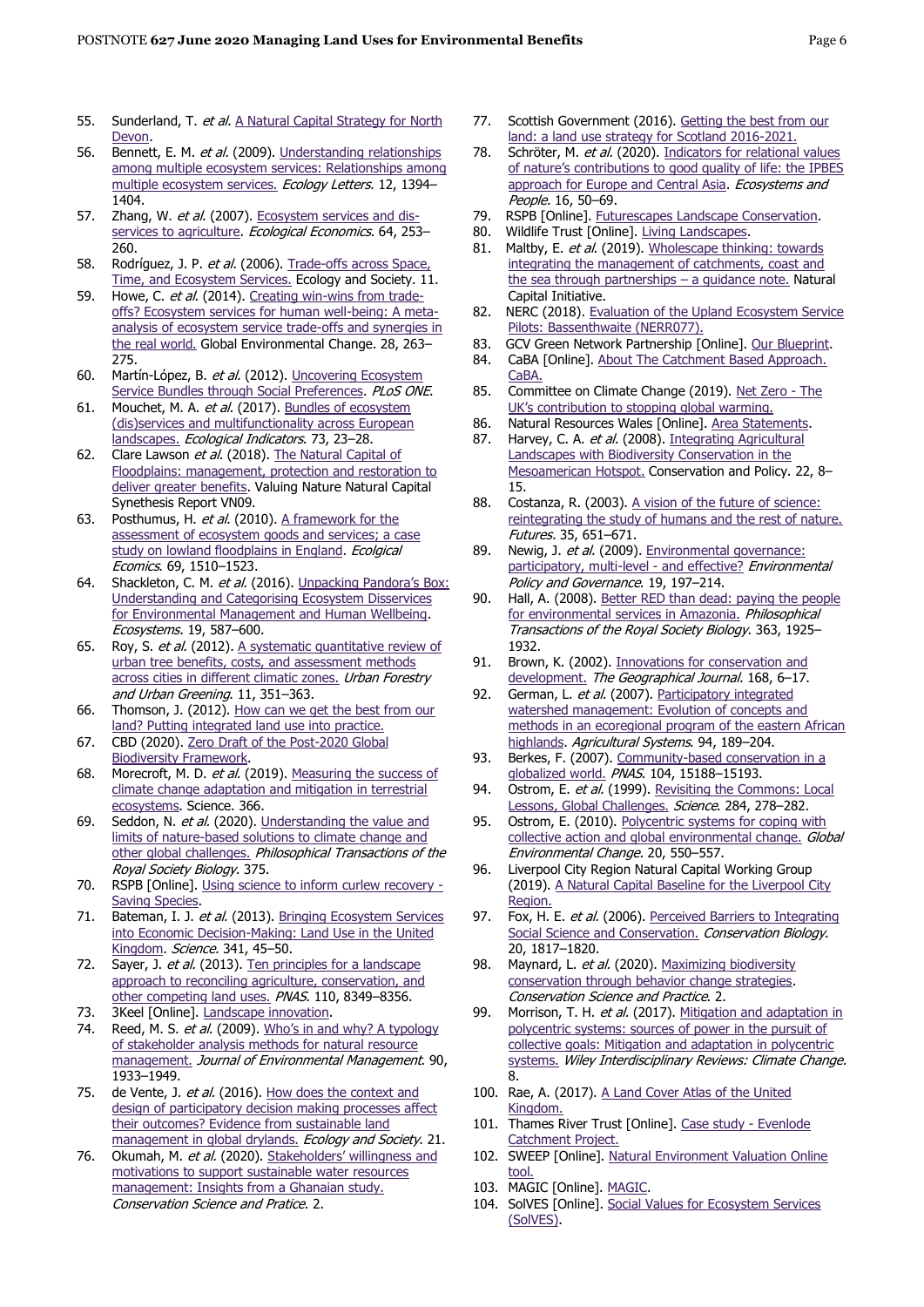- 55. Sunderland, T. et al. A Natural Capital Strategy for North [Devon.](http://publications.naturalengland.org.uk/publication/6070000127574016)
- 56. Bennett, E. M. et al. (2009). Understanding relationships [among multiple ecosystem services: Relationships among](https://onlinelibrary.wiley.com/doi/full/10.1111/j.1461-0248.2009.01387.x)  [multiple ecosystem services.](https://onlinelibrary.wiley.com/doi/full/10.1111/j.1461-0248.2009.01387.x) Ecology Letters. 12, 1394-1404.
- 57. Zhang, W. et al. (2007)[. Ecosystem services and dis](https://www.sciencedirect.com/science/article/pii/S0921800907001462)[services to agriculture.](https://www.sciencedirect.com/science/article/pii/S0921800907001462) Ecological Economics. 64, 253-260.
- 58. Rodríguez, J. P. et al. (2006). Trade-offs across Space, [Time, and Ecosystem Services.](https://www.ecologyandsociety.org/vol11/iss1/art28/) Ecology and Society. 11.
- 59. Howe, C. et al. (2014). [Creating win-wins from trade](https://www.sciencedirect.com/science/article/pii/S0959378014001320)[offs? Ecosystem services for human well-being: A meta](https://www.sciencedirect.com/science/article/pii/S0959378014001320)[analysis of ecosystem service trade-offs and synergies in](https://www.sciencedirect.com/science/article/pii/S0959378014001320)  [the real world.](https://www.sciencedirect.com/science/article/pii/S0959378014001320) Global Environmental Change. 28, 263– 275.
- 60. Martín-López, B. et al. (2012). Uncovering Ecosystem [Service Bundles through Social Preferences.](https://journals.plos.org/plosone/article?id=10.1371/journal.pone.0038970) PLoS ONE.
- 61. Mouchet, M. A. et al. (2017). Bundles of ecosystem [\(dis\)services and multifunctionality across European](https://www.sciencedirect.com/science/article/pii/S1470160X1630557X)  [landscapes.](https://www.sciencedirect.com/science/article/pii/S1470160X1630557X) Ecological Indicators. 73, 23-28.
- 62. Clare Lawson et al. (2018). The Natural Capital of [Floodplains: management, protection and restoration to](https://valuing-nature.net/sites/default/files/documents/Synthesis_reports/VNP09-NatCapSynthesisReport-Floodplains-A4-16pp-144dpi.pdf)  [deliver greater benefits.](https://valuing-nature.net/sites/default/files/documents/Synthesis_reports/VNP09-NatCapSynthesisReport-Floodplains-A4-16pp-144dpi.pdf) Valuing Nature Natural Capital Synethesis Report VN09.
- 63. Posthumus, H. et al. (2010). A framework for the [assessment of ecosystem goods and services; a case](https://www.sciencedirect.com/science/article/pii/S0921800910000480)  [study on lowland floodplains in England](https://www.sciencedirect.com/science/article/pii/S0921800910000480). Ecolgical Ecomics. 69, 1510–1523.
- 64. Shackleton, C. M. et al. (2016). Unpacking Pandora's Box: [Understanding and Categorising Ecosystem Disservices](https://link.springer.com/article/10.1007/s10021-015-9952-z)  [for Environmental Management and Human Wellbeing.](https://link.springer.com/article/10.1007/s10021-015-9952-z) Ecosystems. 19, 587–600.
- 65. Roy, S. et al. (2012). A systematic quantitative review of [urban tree benefits, costs, and assessment methods](https://www.sciencedirect.com/science/article/pii/S1618866712000829)  [across cities in different climatic zones.](https://www.sciencedirect.com/science/article/pii/S1618866712000829) Urban Forestry and Urban Greening. 11, 351–363.
- 66. Thomson, J. (2012). [How can we get the best from our](https://www.scotlink.org/files/publication/LINKReports/LINKHowCanWeGetBestfromLand.pdf)  [land? Putting integrated land use into practice.](https://www.scotlink.org/files/publication/LINKReports/LINKHowCanWeGetBestfromLand.pdf)
- 67. CBD (2020). [Zero Draft of the Post-2020 Global](https://www.cbd.int/article/2020-01-10-19-02-38)  [Biodiversity Framework.](https://www.cbd.int/article/2020-01-10-19-02-38)
- 68. Morecroft, M. D. et al. (2019). Measuring the success of [climate change adaptation and mitigation in terrestrial](https://science.sciencemag.org/content/366/6471/eaaw9256)  [ecosystems.](https://science.sciencemag.org/content/366/6471/eaaw9256) Science. 366.
- 69. Seddon, N. et al. (2020). Understanding the value and [limits of nature-based solutions to climate change and](https://royalsocietypublishing.org/doi/10.1098/rstb.2019.0120)  [other global challenges.](https://royalsocietypublishing.org/doi/10.1098/rstb.2019.0120) Philosophical Transactions of the Royal Society Biology. 375.
- 70. RSPB [Online]. [Using science to inform curlew recovery -](https://community.rspb.org.uk/ourwork/b/biodiversity/posts/using-science-to-inform-curlew-recovery) [Saving Species.](https://community.rspb.org.uk/ourwork/b/biodiversity/posts/using-science-to-inform-curlew-recovery)
- 71. Bateman, I. J. et al. (2013). Bringing Ecosystem Services [into Economic Decision-Making: Land Use in the United](https://science.sciencemag.org/content/341/6141/45)  [Kingdom.](https://science.sciencemag.org/content/341/6141/45) Science. 341, 45-50.
- 72. Sayer, J. et al. (2013). Ten principles for a landscape [approach to reconciling agriculture, conservation, and](https://www.pnas.org/content/110/21/8349)  [other competing land uses.](https://www.pnas.org/content/110/21/8349) PNAS. 110, 8349–8356.
- 73. 3Keel [Online]. [Landscape innovation.](https://www.3keel.com/landscape-innovation/)
- 74. Reed, M. S. et al. (2009). Who's in and why? A typology [of stakeholder analysis methods for natural resource](https://www.sciencedirect.com/science/article/pii/S0301479709000024)  [management.](https://www.sciencedirect.com/science/article/pii/S0301479709000024) Journal of Environmental Management. 90, 1933–1949.
- 75. de Vente, J. et al. (2016). How does the context and [design of participatory decision making processes affect](https://www.ecologyandsociety.org/vol21/iss2/art24/)  [their outcomes? Evidence from sustainable land](https://www.ecologyandsociety.org/vol21/iss2/art24/)  [management in global drylands.](https://www.ecologyandsociety.org/vol21/iss2/art24/) Ecology and Society. 21.
- 76. Okumah, M. et al. (2020). [Stakeholders' willingness](https://conbio.onlinelibrary.wiley.com/doi/full/10.1111/csp2.170) and [motivations to support sustainable water resources](https://conbio.onlinelibrary.wiley.com/doi/full/10.1111/csp2.170)  [management: Insights from a Ghanaian study.](https://conbio.onlinelibrary.wiley.com/doi/full/10.1111/csp2.170) Conservation Science and Pratice. 2.
- 77. Scottish Government (2016). Getting the best from our [land: a land use strategy for Scotland 2016-2021.](https://www.gov.scot/publications/getting-best-land-land-use-strategy-scotland-2016-2021/)
- 78. Schröter, M. et al. (2020). Indicators for relational values [of nature's contributions to good quality of life: the IPBES](https://www.tandfonline.com/doi/full/10.1080/26395916.2019.1703039)  [approach for Europe and Central Asia.](https://www.tandfonline.com/doi/full/10.1080/26395916.2019.1703039) Ecosystems and People. 16, 50–69.
- 79. RSPB [Online]. [Futurescapes Landscape Conservation.](https://www.rspb.org.uk/our-work/conservation/landscape-scale-conservation/futurescapes/)
- 80. Wildlife Trust [Online][. Living Landscapes.](https://www.wildlifetrusts.org/about-us/vision-and-mission/living-landscapes)
- 81. Maltby, E. et al. (2019). Wholescape thinking: towards [integrating the management of catchments, coast and](https://s3-eu-west-1.amazonaws.com/storage.shared/NC%20without%20boundaries%20summary%20guidance%20NCI%209%20May%202019.pdf?AWSAccessKeyId=AKIAJ2W64E53PORUVLFA&Expires=1599728515&Signature=WPOqh%2F7rMqDBjGpNQAdFU8Szehw%3D)  [the sea through partnerships](https://s3-eu-west-1.amazonaws.com/storage.shared/NC%20without%20boundaries%20summary%20guidance%20NCI%209%20May%202019.pdf?AWSAccessKeyId=AKIAJ2W64E53PORUVLFA&Expires=1599728515&Signature=WPOqh%2F7rMqDBjGpNQAdFU8Szehw%3D) - a quidance note. Natural Capital Initiative.
- 82. NERC (2018). Evaluation of the Upland Ecosystem Service [Pilots: Bassenthwaite \(NERR077\).](http://publications.naturalengland.org.uk/publication/6421926117638144?category=35004)
- 83. GCV Green Network Partnership [Online]. [Our Blueprint.](https://www.gcvgreennetwork.gov.uk/what-we-do/our-blueprint)
- 84. CaBA [Online]. About The Catchment Based Approach. [CaBA.](https://catchmentbasedapproach.org/about/)
- 85. Committee on Climate Change (2019). [Net Zero -](https://www.theccc.org.uk/publication/net-zero-the-uks-contribution-to-stopping-global-warming/) The UK's contrib[ution to stopping global warming.](https://www.theccc.org.uk/publication/net-zero-the-uks-contribution-to-stopping-global-warming/)
- 86. Natural Resources Wales [Online]. [Area Statements.](https://naturalresources.wales/about-us/area-statements/?lang=en)
- 87. Harvey, C. A. et al. (2008). Integrating Agricultural [Landscapes with Biodiversity Conservation in the](http://www.oikos.unam.mx/LECT/images/publicaciones_2010/integrating_agricultural_2008.pdf)  [Mesoamerican Hotspot.](http://www.oikos.unam.mx/LECT/images/publicaciones_2010/integrating_agricultural_2008.pdf) Conservation and Policy. 22, 8– 15.
- 88. Costanza, R. (2003). A vision of the future of science: [reintegrating the study of humans and the rest of nature.](https://www.sciencedirect.com/science/article/pii/S0016328702001052) Futures. 35, 651–671.
- 89. Newig, J. et al. (2009). Environmental governance: [participatory, multi-level -](https://onlinelibrary.wiley.com/doi/10.1002/eet.509) and effective? Environmental Policy and Governance. 19, 197–214.
- 90. Hall, A. (2008). Better RED than dead: paying the people [for environmental services in Amazonia.](https://royalsocietypublishing.org/doi/10.1098/rstb.2007.0034) Philosophical Transactions of the Royal Society Biology. 363, 1925– 1932.
- 91. Brown, K. (2002). [Innovations for conservation and](https://rgs-ibg.onlinelibrary.wiley.com/doi/pdf/10.1111/1475-4959.00034)  [development.](https://rgs-ibg.onlinelibrary.wiley.com/doi/pdf/10.1111/1475-4959.00034) The Geographical Journal. 168, 6-17.
- 92. German, L. et al. (2007). Participatory integrated [watershed management: Evolution of concepts and](https://www.sciencedirect.com/science/article/pii/S0308521X0600117X)  [methods in an ecoregional program of the eastern African](https://www.sciencedirect.com/science/article/pii/S0308521X0600117X)  [highlands.](https://www.sciencedirect.com/science/article/pii/S0308521X0600117X) Agricultural Systems. 94, 189-204.
- 93. Berkes, F. (2007). Community-based conservation in a [globalized world.](https://www.pnas.org/content/104/39/15188) PNAS. 104, 15188-15193.
- 94. Ostrom, E. et al. (1999). Revisiting the Commons: Local [Lessons, Global Challenges.](https://science.sciencemag.org/content/284/5412/278) Science. 284, 278-282.
- 95. Ostrom, E. (2010). Polycentric systems for coping with [collective action and global environmental change.](https://www.sciencedirect.com/science/article/pii/S0959378010000634) Global Environmental Change. 20, 550–557.
- 96. Liverpool City Region Natural Capital Working Group (2019). [A Natural Capital Baseline for the Liverpool City](http://www.natureconnected.org/wp-content/uploads/2020/06/LCR_Baseline_4_pager_Final.pdf)  [Region.](http://www.natureconnected.org/wp-content/uploads/2020/06/LCR_Baseline_4_pager_Final.pdf)
- 97. Fox, H. E. et al. (2006). Perceived Barriers to Integrating [Social Science and Conservation.](https://conbio.onlinelibrary.wiley.com/doi/full/10.1111/j.1523-1739.2006.00598.x) Conservation Biology. 20, 1817–1820.
- 98. Maynard, L. et al. (2020). Maximizing biodiversity [conservation through behavior change strategies.](https://conbio.onlinelibrary.wiley.com/doi/pdf/10.1111/csp2.193) Conservation Science and Practice. 2.
- 99. Morrison, T. H. et al. (2017). Mitigation and adaptation in [polycentric systems: sources of power in the pursuit of](https://onlinelibrary.wiley.com/doi/full/10.1002/wcc.479)  [collective goals: Mitigation and adaptation in polycentric](https://onlinelibrary.wiley.com/doi/full/10.1002/wcc.479)  [systems.](https://onlinelibrary.wiley.com/doi/full/10.1002/wcc.479) Wiley Interdisciplinary Reviews: Climate Change. 8.
- 100. Rae, A. (2017). A Land Cover Atlas of the United [Kingdom.](https://figshare.shef.ac.uk/articles/A_Land_Cover_Atlas_of_the_United_Kingdom_Document_/5266495)
- 101. Thames River Trust [Online]. [Case study -](https://www.thamesriverstrust.org.uk/wp-content/uploads/2017/05/EvenlodeCaseStudy-Final-May-2017.pdf) Evenlode [Catchment Project.](https://www.thamesriverstrust.org.uk/wp-content/uploads/2017/05/EvenlodeCaseStudy-Final-May-2017.pdf)
- 102. SWEEP [Online]. [Natural Environment Valuation Online](https://sweep.ac.uk/portfolios/natural-environment-valuation-online-tool-nevo/)  [tool.](https://sweep.ac.uk/portfolios/natural-environment-valuation-online-tool-nevo/)
- 103. MAGIC [Online]. [MAGIC.](https://magic.defra.gov.uk/)
- 104. SolVES [Online]. [Social Values for Ecosystem Services](https://www.usgs.gov/centers/gecsc/science/social-values-ecosystem-services-solves?qt-science_center_objects=0#qt-science_center_objects)  [\(SolVES\).](https://www.usgs.gov/centers/gecsc/science/social-values-ecosystem-services-solves?qt-science_center_objects=0#qt-science_center_objects)